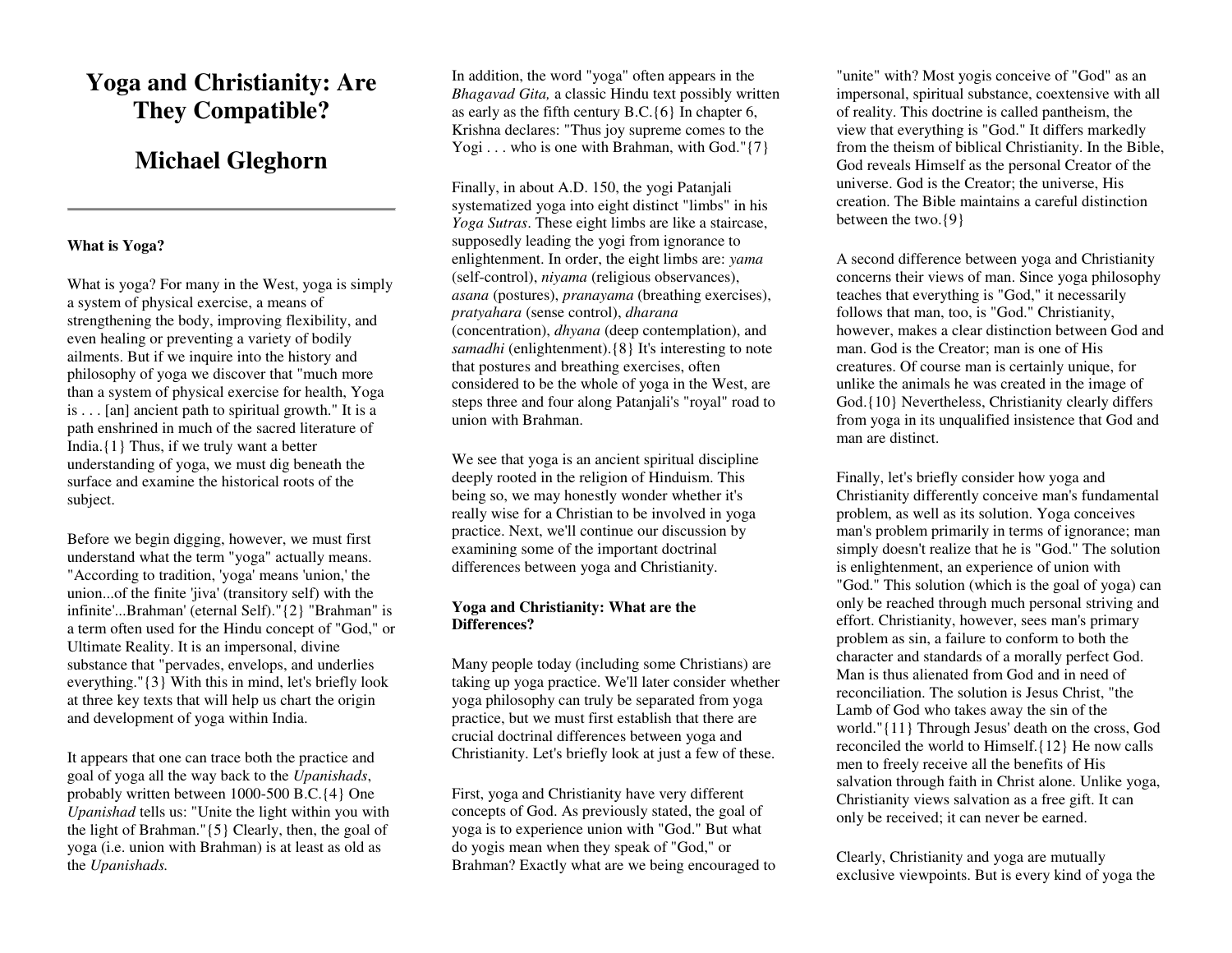# **Yoga and Christianity: Are They Compatible?**

# **Michael Gleghorn**

## **What is Yoga?**

What is yoga? For many in the West, yoga is simply a system of physical exercise, a means of strengthening the body, improving flexibility, and even healing or preventing a variety of bodily ailments. But if we inquire into the history and philosophy of yoga we discover that "much more than a system of physical exercise for health, Yoga is . . . [an] ancient path to spiritual growth." It is a path enshrined in much of the sacred literature of India.{1} Thus, if we truly want a better understanding of yoga, we must dig beneath the surface and examine the historical roots of the subject.

Before we begin digging, however, we must first understand what the term "yoga" actually means. "According to tradition, 'yoga' means 'union,' the union...of the finite 'jiva' (transitory self) with the infinite'...Brahman' (eternal Self)."{2} "Brahman" is a term often used for the Hindu concept of "God," or Ultimate Reality. It is an impersonal, divine substance that "pervades, envelops, and underlies everything."{3} With this in mind, let's briefly look at three key texts that will help us chart the origin and development of yoga within India.

It appears that one can trace both the practice and goal of yoga all the way back to the *Upanishads*, probably written between 1000-500 B.C.{4} One *Upanishad* tells us: "Unite the light within you with the light of Brahman."{5} Clearly, then, the goal of yoga (i.e. union with Brahman) is at least as old as the *Upanishads.* 

In addition, the word "yoga" often appears in the *Bhagavad Gita,* a classic Hindu text possibly written as early as the fifth century B.C.{6} In chapter 6, Krishna declares: "Thus joy supreme comes to the Yogi  $\dots$  who is one with Brahman, with God." $\{7\}$ 

Finally, in about A.D. 150, the yogi Patanjali systematized yoga into eight distinct "limbs" in his *Yoga Sutras*. These eight limbs are like a staircase, supposedly leading the yogi from ignorance to enlightenment. In order, the eight limbs are: *yama*  (self-control), *niyama* (religious observances), *asana* (postures), *pranayama* (breathing exercises), *pratyahara* (sense control), *dharana* (concentration), *dhyana* (deep contemplation), and *samadhi* (enlightenment).{8} It's interesting to note that postures and breathing exercises, often considered to be the whole of yoga in the West, are steps three and four along Patanjali's "royal" road to union with Brahman.

We see that yoga is an ancient spiritual discipline deeply rooted in the religion of Hinduism. This being so, we may honestly wonder whether it's really wise for a Christian to be involved in yoga practice. Next, we'll continue our discussion by examining some of the important doctrinal differences between yoga and Christianity.

## **Yoga and Christianity: What are the Differences?**

Many people today (including some Christians) are taking up yoga practice. We'll later consider whether yoga philosophy can truly be separated from yoga practice, but we must first establish that there are crucial doctrinal differences between yoga and Christianity. Let's briefly look at just a few of these.

First, yoga and Christianity have very different concepts of God. As previously stated, the goal of yoga is to experience union with "God." But what do yogis mean when they speak of "God," or Brahman? Exactly what are we being encouraged to

"unite" with? Most yogis conceive of "God" as an impersonal, spiritual substance, coextensive with all of reality. This doctrine is called pantheism, the view that everything is "God." It differs markedly from the theism of biblical Christianity. In the Bible, God reveals Himself as the personal Creator of the universe. God is the Creator; the universe, His creation. The Bible maintains a careful distinction between the two.{9}

A second difference between yoga and Christianity concerns their views of man. Since yoga philosophy teaches that everything is "God," it necessarily follows that man, too, is "God." Christianity, however, makes a clear distinction between God and man. God is the Creator; man is one of His creatures. Of course man is certainly unique, for unlike the animals he was created in the image of God.{10} Nevertheless, Christianity clearly differs from yoga in its unqualified insistence that God and man are distinct.

Finally, let's briefly consider how yoga and Christianity differently conceive man's fundamental problem, as well as its solution. Yoga conceives man's problem primarily in terms of ignorance; man simply doesn't realize that he is "God." The solution is enlightenment, an experience of union with "God." This solution (which is the goal of yoga) can only be reached through much personal striving and effort. Christianity, however, sees man's primary problem as sin, a failure to conform to both the character and standards of a morally perfect God. Man is thus alienated from God and in need of reconciliation. The solution is Jesus Christ, "the Lamb of God who takes away the sin of the world."{11} Through Jesus' death on the cross, God reconciled the world to Himself.{12} He now calls men to freely receive all the benefits of His salvation through faith in Christ alone. Unlike yoga, Christianity views salvation as a free gift. It can only be received; it can never be earned.

Clearly, Christianity and yoga are mutually exclusive viewpoints. But is every kind of yoga the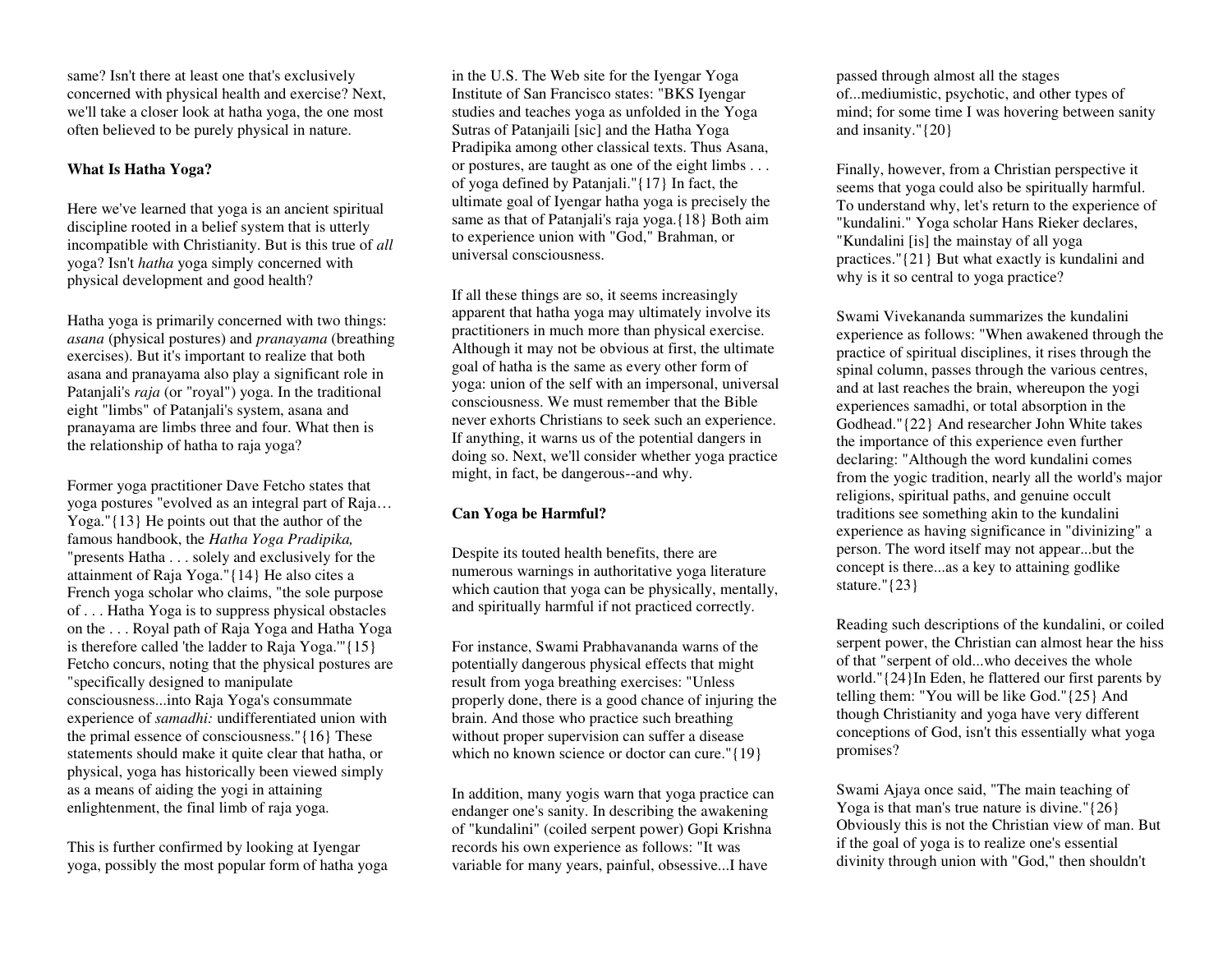same? Isn't there at least one that's exclusively concerned with physical health and exercise? Next, we'll take a closer look at hatha yoga, the one most often believed to be purely physical in nature.

## **What Is Hatha Yoga?**

Here we've learned that yoga is an ancient spiritual discipline rooted in a belief system that is utterly incompatible with Christianity. But is this true of *all*  yoga? Isn't *hatha* yoga simply concerned with physical development and good health?

Hatha yoga is primarily concerned with two things: *asana* (physical postures) and *pranayama* (breathing exercises). But it's important to realize that both asana and pranayama also play a significant role in Patanjali's *raja* (or "royal") yoga. In the traditional eight "limbs" of Patanjali's system, asana and pranayama are limbs three and four. What then is the relationship of hatha to raja yoga?

Former yoga practitioner Dave Fetcho states that yoga postures "evolved as an integral part of Raja… Yoga."{13} He points out that the author of the famous handbook, the *Hatha Yoga Pradipika,*  "presents Hatha . . . solely and exclusively for the attainment of Raja Yoga."{14} He also cites a French yoga scholar who claims, "the sole purpose of . . . Hatha Yoga is to suppress physical obstacles on the . . . Royal path of Raja Yoga and Hatha Yoga is therefore called 'the ladder to Raja Yoga.'"{15} Fetcho concurs, noting that the physical postures are "specifically designed to manipulate consciousness...into Raja Yoga's consummate experience of *samadhi:* undifferentiated union with the primal essence of consciousness."{16} These statements should make it quite clear that hatha, or physical, yoga has historically been viewed simply as a means of aiding the yogi in attaining enlightenment, the final limb of raja yoga.

This is further confirmed by looking at Iyengar yoga, possibly the most popular form of hatha yoga in the U.S. The Web site for the Iyengar Yoga Institute of San Francisco states: "BKS Iyengar studies and teaches yoga as unfolded in the Yoga Sutras of Patanjaili [sic] and the Hatha Yoga Pradipika among other classical texts. Thus Asana, or postures, are taught as one of the eight limbs . . . of yoga defined by Patanjali."{17} In fact, the ultimate goal of Iyengar hatha yoga is precisely the same as that of Patanjali's raja yoga.{18} Both aim to experience union with "God," Brahman, or universal consciousness.

If all these things are so, it seems increasingly apparent that hatha yoga may ultimately involve its practitioners in much more than physical exercise. Although it may not be obvious at first, the ultimate goal of hatha is the same as every other form of yoga: union of the self with an impersonal, universal consciousness. We must remember that the Bible never exhorts Christians to seek such an experience. If anything, it warns us of the potential dangers in doing so. Next, we'll consider whether yoga practice might, in fact, be dangerous--and why.

# **Can Yoga be Harmful?**

Despite its touted health benefits, there are numerous warnings in authoritative yoga literature which caution that yoga can be physically, mentally, and spiritually harmful if not practiced correctly.

For instance, Swami Prabhavananda warns of the potentially dangerous physical effects that might result from yoga breathing exercises: "Unless properly done, there is a good chance of injuring the brain. And those who practice such breathing without proper supervision can suffer a disease which no known science or doctor can cure."{19}

In addition, many yogis warn that yoga practice can endanger one's sanity. In describing the awakening of "kundalini" (coiled serpent power) Gopi Krishna records his own experience as follows: "It was variable for many years, painful, obsessive...I have

passed through almost all the stages of...mediumistic, psychotic, and other types of mind; for some time I was hovering between sanity and insanity."{20}

Finally, however, from a Christian perspective it seems that yoga could also be spiritually harmful. To understand why, let's return to the experience of "kundalini." Yoga scholar Hans Rieker declares, "Kundalini [is] the mainstay of all yoga practices."{21} But what exactly is kundalini and why is it so central to yoga practice?

Swami Vivekananda summarizes the kundalini experience as follows: "When awakened through the practice of spiritual disciplines, it rises through the spinal column, passes through the various centres, and at last reaches the brain, whereupon the yogi experiences samadhi, or total absorption in the Godhead."{22} And researcher John White takes the importance of this experience even further declaring: "Although the word kundalini comes from the yogic tradition, nearly all the world's major religions, spiritual paths, and genuine occult traditions see something akin to the kundalini experience as having significance in "divinizing" a person. The word itself may not appear...but the concept is there...as a key to attaining godlike stature."{23}

Reading such descriptions of the kundalini, or coiled serpent power, the Christian can almost hear the hiss of that "serpent of old...who deceives the whole world."{24}In Eden, he flattered our first parents by telling them: "You will be like God."{25} And though Christianity and yoga have very different conceptions of God, isn't this essentially what yoga promises?

Swami Ajaya once said, "The main teaching of Yoga is that man's true nature is divine." $\{26\}$ Obviously this is not the Christian view of man. But if the goal of yoga is to realize one's essential divinity through union with "God," then shouldn't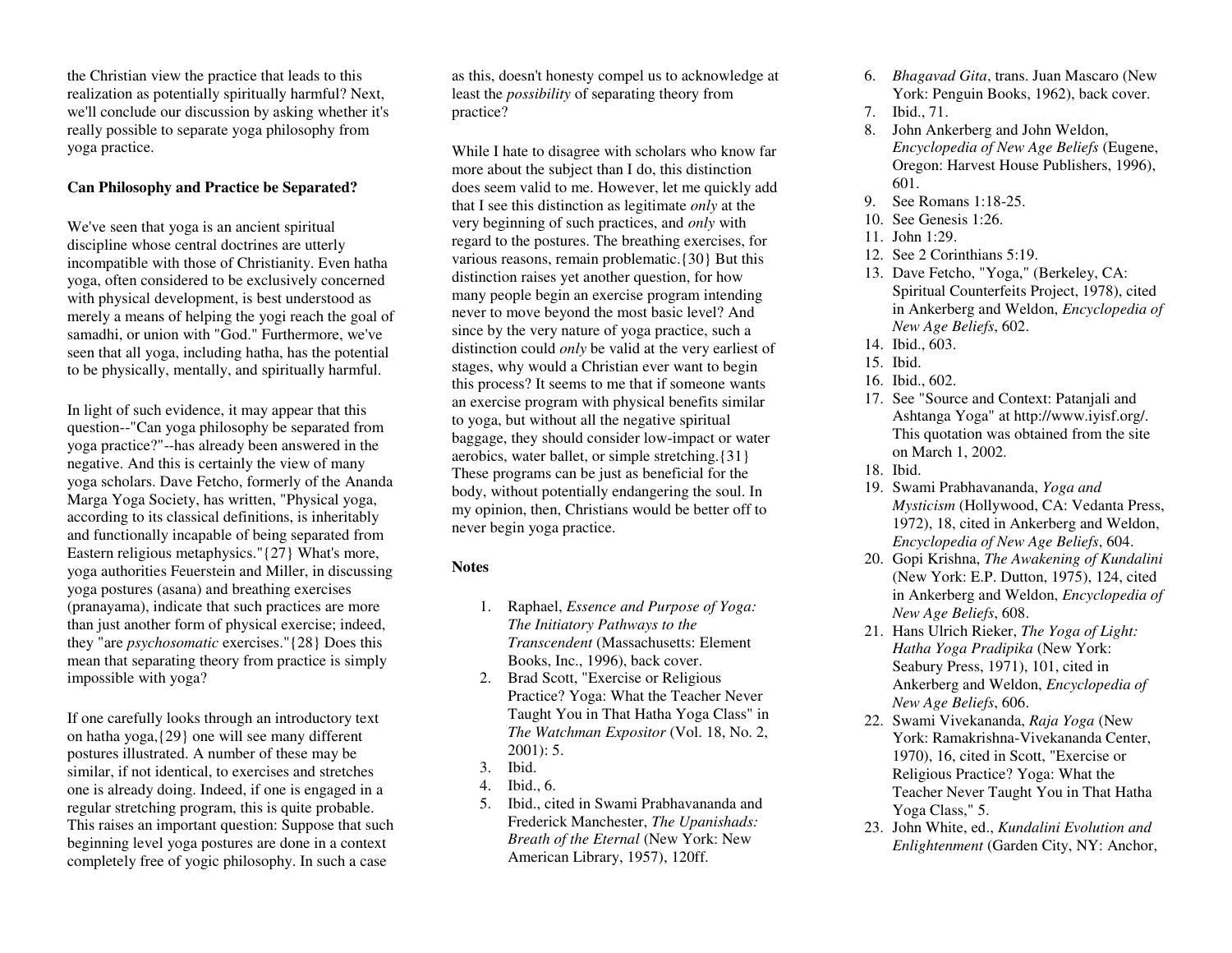the Christian view the practice that leads to this realization as potentially spiritually harmful? Next, we'll conclude our discussion by asking whether it's really possible to separate yoga philosophy from yoga practice.

#### **Can Philosophy and Practice be Separated?**

We've seen that yoga is an ancient spiritual discipline whose central doctrines are utterly incompatible with those of Christianity. Even hatha yoga, often considered to be exclusively concerned with physical development, is best understood as merely a means of helping the yogi reach the goal of samadhi, or union with "God." Furthermore, we've seen that all yoga, including hatha, has the potential to be physically, mentally, and spiritually harmful.

In light of such evidence, it may appear that this question--"Can yoga philosophy be separated from yoga practice?"--has already been answered in the negative. And this is certainly the view of many yoga scholars. Dave Fetcho, formerly of the Ananda Marga Yoga Society, has written, "Physical yoga, according to its classical definitions, is inheritably and functionally incapable of being separated from Eastern religious metaphysics."{27} What's more, yoga authorities Feuerstein and Miller, in discussing yoga postures (asana) and breathing exercises (pranayama), indicate that such practices are more than just another form of physical exercise; indeed, they "are *psychosomatic* exercises."{28} Does this mean that separating theory from practice is simply impossible with yoga?

If one carefully looks through an introductory text on hatha yoga,{29} one will see many different postures illustrated. A number of these may be similar, if not identical, to exercises and stretches one is already doing. Indeed, if one is engaged in a regular stretching program, this is quite probable. This raises an important question: Suppose that such beginning level yoga postures are done in a context completely free of yogic philosophy. In such a case

as this, doesn't honesty compel us to acknowledge at least the *possibility* of separating theory from practice?

While I hate to disagree with scholars who know far more about the subject than I do, this distinction does seem valid to me. However, let me quickly add that I see this distinction as legitimate *only* at the very beginning of such practices, and *only* with regard to the postures. The breathing exercises, for various reasons, remain problematic.{30} But this distinction raises yet another question, for how many people begin an exercise program intending never to move beyond the most basic level? And since by the very nature of yoga practice, such a distinction could *only* be valid at the very earliest of stages, why would a Christian ever want to begin this process? It seems to me that if someone wants an exercise program with physical benefits similar to yoga, but without all the negative spiritual baggage, they should consider low-impact or water aerobics, water ballet, or simple stretching.{31} These programs can be just as beneficial for the body, without potentially endangering the soul. In my opinion, then, Christians would be better off to never begin yoga practice.

## **Notes**

- 1. Raphael, *Essence and Purpose of Yoga: The Initiatory Pathways to the Transcendent* (Massachusetts: Element Books, Inc., 1996), back cover.
- 2. Brad Scott, "Exercise or Religious Practice? Yoga: What the Teacher Never Taught You in That Hatha Yoga Class" in *The Watchman Expositor* (Vol. 18, No. 2, 2001): 5.
- 3. Ibid.
- 4. Ibid., 6.
- 5. Ibid., cited in Swami Prabhavananda and Frederick Manchester, *The Upanishads: Breath of the Eternal* (New York: New American Library, 1957), 120ff.
- 6. *Bhagavad Gita*, trans. Juan Mascaro (New York: Penguin Books, 1962), back cover.
- 7. Ibid., 71.
- 8. John Ankerberg and John Weldon, *Encyclopedia of New Age Beliefs* (Eugene, Oregon: Harvest House Publishers, 1996), 601.
- 9. See Romans 1:18-25.
- 10. See Genesis 1:26.
- 11. John 1:29.
- 12. See 2 Corinthians 5:19.
- 13. Dave Fetcho, "Yoga," (Berkeley, CA: Spiritual Counterfeits Project, 1978), cited in Ankerberg and Weldon, *Encyclopedia of New Age Beliefs*, 602.
- 14. Ibid., 603.
- 15. Ibid.
- 16. Ibid., 602.
- 17. See "Source and Context: Patanjali and Ashtanga Yoga" at http://www.iyisf.org/. This quotation was obtained from the site on March 1, 2002.
- 18. Ibid.
- 19. Swami Prabhavananda, *Yoga and Mysticism* (Hollywood, CA: Vedanta Press, 1972), 18, cited in Ankerberg and Weldon, *Encyclopedia of New Age Beliefs*, 604.
- 20. Gopi Krishna, *The Awakening of Kundalini* (New York: E.P. Dutton, 1975), 124, cited in Ankerberg and Weldon, *Encyclopedia of New Age Beliefs*, 608.
- 21. Hans Ulrich Rieker, *The Yoga of Light: Hatha Yoga Pradipika* (New York: Seabury Press, 1971), 101, cited in Ankerberg and Weldon, *Encyclopedia of New Age Beliefs*, 606.
- 22. Swami Vivekananda, *Raja Yoga* (New York: Ramakrishna-Vivekananda Center, 1970), 16, cited in Scott, "Exercise or Religious Practice? Yoga: What the Teacher Never Taught You in That Hatha Yoga Class," 5.
- 23. John White, ed., *Kundalini Evolution and Enlightenment* (Garden City, NY: Anchor,